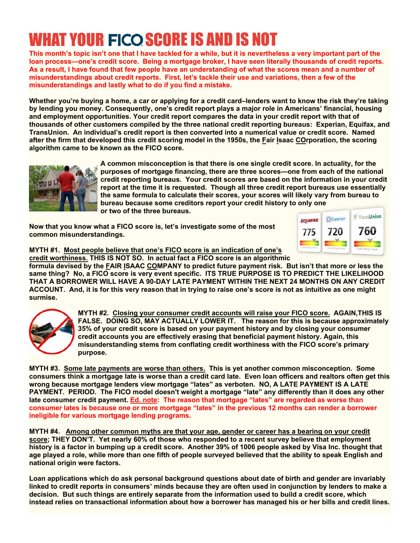# WHAT YOUR FICO SCORE IS AND IS NOT

**This month's topic isn't one that I have tackled for a while, but it is nevertheless a very important part of the loan process—one's credit score. Being a mortgage broker, I have seen literally thousands of credit reports. As a result, I have found that few people have an understanding of what the scores mean and a number of misunderstandings about credit reports. First, let's tackle their use and variations, then a few of the misunderstandings and lastly what to do if you find a mistake.**

**Whether you're buying a home, a car or applying for a credit card–lenders want to know the risk they're taking by lending you money. Consequently, one's credit report plays a major role in Americans' financial, housing and employment opportunities. Your credit report compares the data in your credit report with that of thousands of other customers compiled by the three national credit reporting bureaus: Experian, Equifax, and TransUnion. An individual's credit report is then converted into a numerical value or credit score. Named after the firm that developed this credit scoring model in the 1950s, the Fair Isaac COrporation, the scoring algorithm came to be known as the FICO score.**



**A common misconception is that there is one single credit score. In actuality, for the purposes of mortgage financing, there are three scores—one from each of the national credit reporting bureaus. Your credit scores are based on the information in your credit report at the time it is requested. Though all three credit report bureaus use essentially the same formula to calculate their scores, your scores will likely vary from bureau to bureau because some creditors report your credit history to only one or two of the three bureaus.**

**Now that you know what a FICO score is, let's investigate some of the most common misunderstandings.**



**MYTH #1. Most people believe that one's FICO score is an indication of one's**

**credit worthiness. THIS IS NOT SO. In actual fact a FICO score is an algorithmic formula devised by the FAIR ISAAC COMPANY to predict future payment risk. But isn't that more or less the same thing? No, a FICO score is very event specific. ITS TRUE PURPOSE IS TO PREDICT THE LIKELIHOOD THAT A BORROWER WILL HAVE A 90-DAY LATE PAYMENT WITHIN THE NEXT 24 MONTHS ON ANY CREDIT ACCOUNT. And, it is for this very reason that in trying to raise one's score is not as intuitive as one might surmise.**



**MYTH #2. Closing your consumer credit accounts will raise your FICO score. AGAIN,THIS IS FALSE. DOING SO, MAY ACTUALLY LOWER IT. The reason for this is because approximately 35% of your credit score is based on your payment history and by closing your consumer credit accounts you are effectively erasing that beneficial payment history. Again, this misunderstanding stems from conflating credit worthiness with the FICO score's primary purpose.**

**MYTH #3. Some late payments are worse than others. This is yet another common misconception. Some consumers think a mortgage late is worse than a credit card late. Even loan officers and realtors often get this wrong because mortgage lenders view mortgage "lates" as verboten. NO, A LATE PAYMENT IS A LATE PAYMENT. PERIOD. The FICO model doesn't weight a mortgage "late" any differently than it does any other late consumer credit payment. Ed. note: The reason that mortgage "lates" are regarded as worse than consumer lates is because one or more mortgage "lates" in the previous 12 months can render a borrower ineligible for various mortgage lending programs.**

**MYTH #4. Among other common myths are that your age, gender or career has a bearing on your credit score; THEY DON'T. Yet nearly 60% of those who responded to a recent survey believe that employment history is a factor in bumping up a credit score. Another 39% of 1006 people asked by Visa Inc. thought that age played a role, while more than one fifth of people surveyed believed that the ability to speak English and national origin were factors.**

**Loan applications which do ask personal background questions about date of birth and gender are invariably linked to credit reports in consumers' minds because they are often used in conjunction by lenders to make a decision. But such things are entirely separate from the information used to build a credit score, which instead relies on transactional information about how a borrower has managed his or her bills and credit lines.**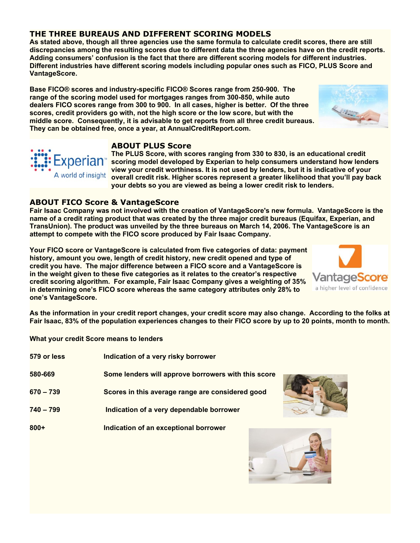# **THE THREE BUREAUS AND DIFFERENT SCORING MODELS**

**As stated above, though all three agencies use the same formula to calculate credit scores, there are still discrepancies among the resulting scores due to different data the three agencies have on the credit reports. Adding consumers' confusion is the fact that there are different scoring models for different industries. Different industries have different scoring models including popular ones such as FICO, PLUS Score and VantageScore.**

**Base FICO® scores and industry-specific FICO® Scores range from 250-900. The range of the scoring model used for mortgages ranges from 300-850, while auto dealers FICO scores range from 300 to 900. In all cases, higher is better. Of the three scores, credit providers go with, not the high score or the low score, but with the middle score. Consequently, it is advisable to get reports from all three credit bureaus. They can be obtained free, once a year, at AnnualCreditReport.com.**

## **ABOUT PLUS Score**

**The PLUS Score, with scores ranging from 330 to 830, is an educational credit scoring model developed by Experian to help consumers understand how lenders view your credit worthiness. It is not used by lenders, but it is indicative of your overall credit risk. Higher scores represent a greater likelihood that you'll pay back your debts so you are viewed as being a lower credit risk to lenders.**

# **ABOUT FICO Score & VantageScore**

xperian<sup>®</sup>

A world of insight

**Fair Isaac Company was not involved with the creation of VantageScore's new formula. VantageScore is the name of a credit rating product that was created by the three major credit bureaus (Equifax, Experian, and TransUnion). The product was unveiled by the three bureaus on March 14, 2006. The VantageScore is an attempt to compete with the FICO score produced by Fair Isaac Company.**

**Your FICO score or VantageScore is calculated from five categories of data: payment history, amount you owe, length of credit history, new credit opened and type of credit you have. The major difference between a FICO score and a VantageScore is in the weight given to these five categories as it relates to the creator's respective credit scoring algorithm. For example, Fair Isaac Company gives a weighting of 35% in determining one's FICO score whereas the same category attributes only 28% to one's VantageScore.**

**As the information in your credit report changes, your credit score may also change. According to the folks at Fair Isaac, 83% of the population experiences changes to their FICO score by up to 20 points, month to month.**

**What your credit Score means to lenders**

| 579 or less | Indication of a very risky borrower                 |
|-------------|-----------------------------------------------------|
| 580-669     | Some lenders will approve borrowers with this score |
| 670 – 739   | Scores in this average range are considered good    |
| 740 - 799   | Indication of a very dependable borrower            |
| 800+        | Indication of an exceptional borrower               |







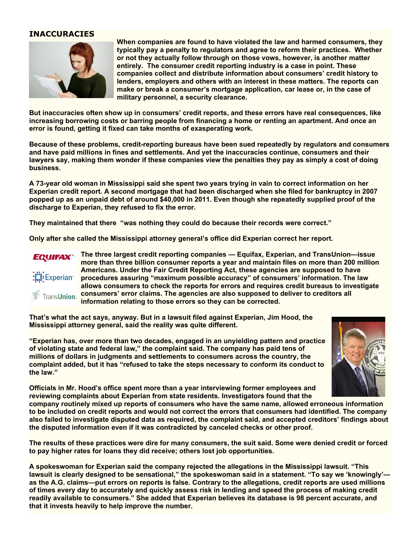#### **INACCURACIES**



**When companies are found to have violated the law and harmed consumers, they typically pay a penalty to regulators and agree to reform their practices. Whether or not they actually follow through on those vows, however, is another matter entirely. The consumer credit reporting industry is a case in point. These companies collect and distribute information about consumers' credit history to lenders, employers and others with an interest in these matters. The reports can make or break a consumer's mortgage application, car lease or, in the case of military personnel, a security clearance.**

**But inaccuracies often show up in consumers' credit reports, and these errors have real consequences, like increasing borrowing costs or barring people from financing a home or renting an apartment. And once an error is found, getting it fixed can take months of exasperating work.**

**Because of these problems, credit-reporting bureaus have been sued repeatedly by regulators and consumers and have paid millions in fines and settlements. And yet the inaccuracies continue, consumers and their lawyers say, making them wonder if these companies view the penalties they pay as simply a cost of doing business.**

**A 73-year old woman in Mississippi said she spent two years trying in vain to correct information on her Experian credit report. A second mortgage that had been discharged when she filed for bankruptcy in 2007 popped up as an unpaid debt of around \$40,000 in 2011. Even though she repeatedly supplied proof of the discharge to Experian, they refused to fix the error.**

**They maintained that there "was nothing they could do because their records were correct."**

**Only after she called the Mississippi attorney general's office did Experian correct her report.**



**The three largest credit reporting companies — Equifax, Experian, and TransUnion—issue more than three billion consumer reports a year and maintain files on more than 200 million Americans. Under the Fair Credit Reporting Act, these agencies are supposed to have procedures assuring "maximum possible accuracy" of consumers' information. The law allows consumers to check the reports for errors and requires credit bureaus to investigate consumers' error claims. The agencies are also supposed to deliver to creditors all information relating to those errors so they can be corrected.**

**That's what the act says, anyway. But in a lawsuit filed against Experian, Jim Hood, the Mississippi attorney general, said the reality was quite different.**

**"Experian has, over more than two decades, engaged in an unyielding pattern and practice of violating state and federal law," the complaint said. The company has paid tens of millions of dollars in judgments and settlements to consumers across the country, the complaint added, but it has "refused to take the steps necessary to conform its conduct to the law."**



**Officials in Mr. Hood's office spent more than a year interviewing former employees and reviewing complaints about Experian from state residents. Investigators found that the**

**company routinely mixed up reports of consumers who have the same name, allowed erroneous information to be included on credit reports and would not correct the errors that consumers had identified. The company also failed to investigate disputed data as required, the complaint said, and accepted creditors' findings about the disputed information even if it was contradicted by canceled checks or other proof.**

**The results of these practices were dire for many consumers, the suit said. Some were denied credit or forced to pay higher rates for loans they did receive; others lost job opportunities.**

**A spokeswoman for Experian said the company rejected the allegations in the Mississippi lawsuit. "This lawsuit is clearly designed to be sensational," the spokeswoman said in a statement. "To say we 'knowingly' as the A.G. claims—put errors on reports is false. Contrary to the allegations, credit reports are used millions of times every day to accurately and quickly assess risk in lending and speed the process of making credit readily available to consumers." She added that Experian believes its database is 98 percent accurate, and that it invests heavily to help improve the number.**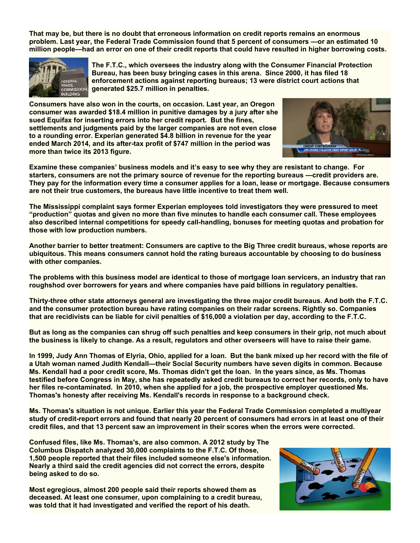**That may be, but there is no doubt that erroneous information on credit reports remains an enormous problem. Last year, the Federal Trade Commission found that 5 percent of consumers —or an estimated 10 million people—had an error on one of their credit reports that could have resulted in higher borrowing costs.**



**The F.T.C., which oversees the industry along with the Consumer Financial Protection Bureau, has been busy bringing cases in this arena. Since 2000, it has filed 18 enforcement actions against reporting bureaus; 13 were district court actions that generated \$25.7 million in penalties.**

**Consumers have also won in the courts, on occasion. Last year, an Oregon consumer was awarded \$18.4 million in punitive damages by a jury after she sued Equifax for inserting errors into her credit report. But the fines, settlements and judgments paid by the larger companies are not even close to a rounding error. Experian generated \$4.8 billion in revenue for the year ended March 2014, and its after-tax profit of \$747 million in the period was more than twice its 2013 figure.**



**Examine these companies' business models and it's easy to see why they are resistant to change. For starters, consumers are not the primary source of revenue for the reporting bureaus —credit providers are. They pay for the information every time a consumer applies for a loan, lease or mortgage. Because consumers are not their true customers, the bureaus have little incentive to treat them well.**

**The Mississippi complaint says former Experian employees told investigators they were pressured to meet "production" quotas and given no more than five minutes to handle each consumer call. These employees also described internal competitions for speedy call-handling, bonuses for meeting quotas and probation for those with low production numbers.**

**Another barrier to better treatment: Consumers are captive to the Big Three credit bureaus, whose reports are ubiquitous. This means consumers cannot hold the rating bureaus accountable by choosing to do business with other companies.**

**The problems with this business model are identical to those of mortgage loan servicers, an industry that ran roughshod over borrowers for years and where companies have paid billions in regulatory penalties.**

**Thirty-three other state attorneys general are investigating the three major credit bureaus. And both the F.T.C. and the consumer protection bureau have rating companies on their radar screens. Rightly so. Companies that are recidivists can be liable for civil penalties of \$16,000 a violation per day, according to the F.T.C.**

**But as long as the companies can shrug off such penalties and keep consumers in their grip, not much about the business is likely to change. As a result, regulators and other overseers will have to raise their game.**

**ln 1999, Judy Ann Thomas of Elyria, Ohio, applied for a loan. But the bank mixed up her record with the file of a Utah woman named Judith Kendall—their Social Security numbers have seven digits in common. Because Ms. Kendall had a poor credit score, Ms. Thomas didn't get the loan. In the years since, as Ms. Thomas testified before Congress in May, she has repeatedly asked credit bureaus to correct her records, only to have her files re-contaminated. In 2010, when she applied for a job, the prospective employer questioned Ms. Thomas's honesty after receiving Ms. Kendall's records in response to a background check.**

**Ms. Thomas's situation is not unique. Earlier this year the Federal Trade Commission completed a multiyear study of credit-report errors and found that nearly 20 percent of consumers had errors in at least one of their credit files, and that 13 percent saw an improvement in their scores when the errors were corrected.**

**Confused files, like Ms. Thomas's, are also common. A 2012 study by The Columbus Dispatch analyzed 30,000 complaints to the F.T.C. Of those, 1,500 people reported that their files included someone else's information. Nearly a third said the credit agencies did not correct the errors, despite being asked to do so.**

**Most egregious, almost 200 people said their reports showed them as deceased. At least one consumer, upon complaining to a credit bureau, was told that it had investigated and verified the report of his death.**

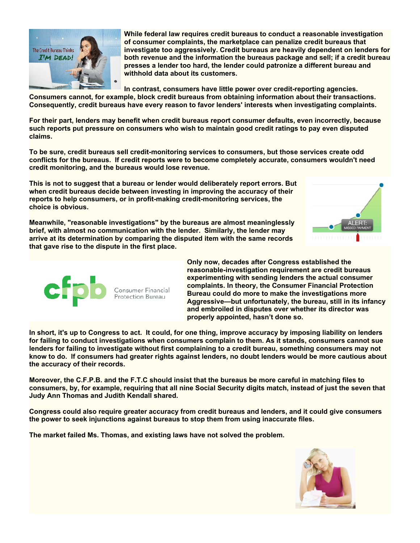

**While federal law requires credit bureaus to conduct a reasonable investigation of consumer complaints, the marketplace can penalize credit bureaus that investigate too aggressively. Credit bureaus are heavily dependent on lenders for both revenue and the information the bureaus package and sell; if a credit bureau presses a lender too hard, the lender could patronize a different bureau and withhold data about its customers.**

**In contrast, consumers have little power over credit-reporting agencies.**

**Consumers cannot, for example, block credit bureaus from obtaining information about their transactions. Consequently, credit bureaus have every reason to favor lenders' interests when investigating complaints.**

**For their part, lenders may benefit when credit bureaus report consumer defaults, even incorrectly, because such reports put pressure on consumers who wish to maintain good credit ratings to pay even disputed claims.**

**To be sure, credit bureaus sell credit-monitoring services to consumers, but those services create odd conflicts for the bureaus. If credit reports were to become completely accurate, consumers wouldn't need credit monitoring, and the bureaus would lose revenue.**

**This is not to suggest that a bureau or lender would deliberately report errors. But when credit bureaus decide between investing in improving the accuracy of their reports to help consumers, or in profit-making credit-monitoring services, the choice is obvious.**

**Meanwhile, "reasonable investigations" by the bureaus are almost meaninglessly brief, with almost no communication with the lender. Similarly, the lender may arrive at its determination by comparing the disputed item with the same records that gave rise to the dispute in the first place.**





**Only now, decades after Congress established the reasonable-investigation requirement are credit bureaus experimenting with sending lenders the actual consumer complaints. In theory, the Consumer Financial Protection Bureau could do more to make the investigations more Aggressive—but unfortunately, the bureau, still in its infancy and embroiled in disputes over whether its director was properly appointed, hasn't done so.**

**In short, it's up to Congress to act. It could, for one thing, improve accuracy by imposing liability on lenders for failing to conduct investigations when consumers complain to them. As it stands, consumers cannot sue lenders for failing to investigate without first complaining to a credit bureau, something consumers may not know to do. lf consumers had greater rights against lenders, no doubt lenders would be more cautious about the accuracy of their records.**

**Moreover, the C.F.P.B. and the F.T.C should insist that the bureaus be more careful in matching files to consumers, by, for example, requiring that all nine Social Security digits match, instead of just the seven that Judy Ann Thomas and Judith Kendall shared.**

**Congress could also require greater accuracy from credit bureaus and lenders, and it could give consumers the power to seek injunctions against bureaus to stop them from using inaccurate files.**

**The market failed Ms. Thomas, and existing laws have not solved the problem.**